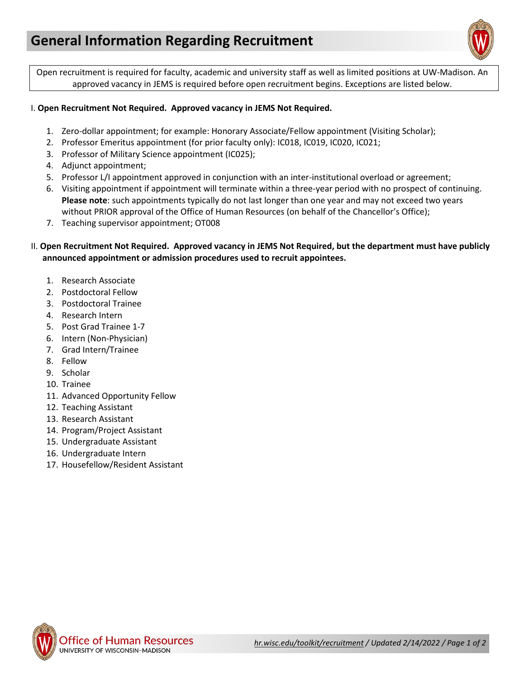

Open recruitment is required for faculty, academic and university staff as well as limited positions at UW-Madison. An approved vacancy in JEMS is required before open recruitment begins. Exceptions are listed below.

## I. **Open Recruitment Not Required. Approved vacancy in JEMS Not Required.**

- 1. Zero-dollar appointment; for example: Honorary Associate/Fellow appointment (Visiting Scholar);
- 2. Professor Emeritus appointment (for prior faculty only): IC018, IC019, IC020, IC021;
- 3. Professor of Military Science appointment (IC025);
- 4. Adjunct appointment;
- 5. Professor L/I appointment approved in conjunction with an inter-institutional overload or agreement;
- 6. Visiting appointment if appointment will terminate within a three-year period with no prospect of continuing. **Please note**: such appointments typically do not last longer than one year and may not exceed two years without PRIOR approval of the Office of Human Resources (on behalf of the Chancellor's Office);
- 7. Teaching supervisor appointment; OT008

## II. **Open Recruitment Not Required. Approved vacancy in JEMS Not Required, but the department must have publicly announced appointment or admission procedures used to recruit appointees.**

- 1. Research Associate
- 2. Postdoctoral Fellow
- 3. Postdoctoral Trainee
- 4. Research Intern
- 5. Post Grad Trainee 1-7
- 6. Intern (Non-Physician)
- 7. Grad Intern/Trainee
- 8. Fellow
- 9. Scholar
- 10. Trainee
- 11. Advanced Opportunity Fellow
- 12. Teaching Assistant
- 13. Research Assistant
- 14. Program/Project Assistant
- 15. Undergraduate Assistant
- 16. Undergraduate Intern
- 17. Housefellow/Resident Assistant